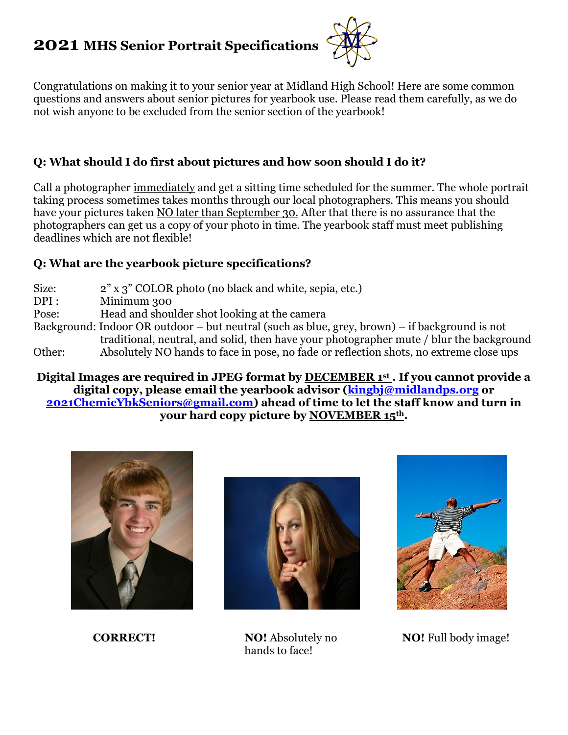# **2021 MHS Senior Portrait Specifications**



Congratulations on making it to your senior year at Midland High School! Here are some common questions and answers about senior pictures for yearbook use. Please read them carefully, as we do not wish anyone to be excluded from the senior section of the yearbook!

### **Q: What should I do first about pictures and how soon should I do it?**

Call a photographer immediately and get a sitting time scheduled for the summer. The whole portrait taking process sometimes takes months through our local photographers. This means you should have your pictures taken NO later than September 30. After that there is no assurance that the photographers can get us a copy of your photo in time. The yearbook staff must meet publishing deadlines which are not flexible!

#### **Q: What are the yearbook picture specifications?**

- Size: 2" x 3" COLOR photo (no black and white, sepia, etc.) DPI : Minimum 300
- Pose: Head and shoulder shot looking at the camera
- Background: Indoor OR outdoor but neutral (such as blue, grey, brown) if background is not traditional, neutral, and solid, then have your photographer mute / blur the background Other: Absolutely NO hands to face in pose, no fade or reflection shots, no extreme close ups

**Digital Images are required in JPEG format by DECEMBER 1st . If you cannot provide a digital copy, please email the yearbook advisor [\(kingbj@midlandps.org](mailto:kingbj@midlandps.org) or [2021ChemicYbkSeniors@gmail.com\)](mailto:2021chemicybkseniors@gmail.com) ahead of time to let the staff know and turn in your hard copy picture by NOVEMBER 15th.**





**CORRECT! NO!** Absolutely no hands to face!



**NO!** Full body image!